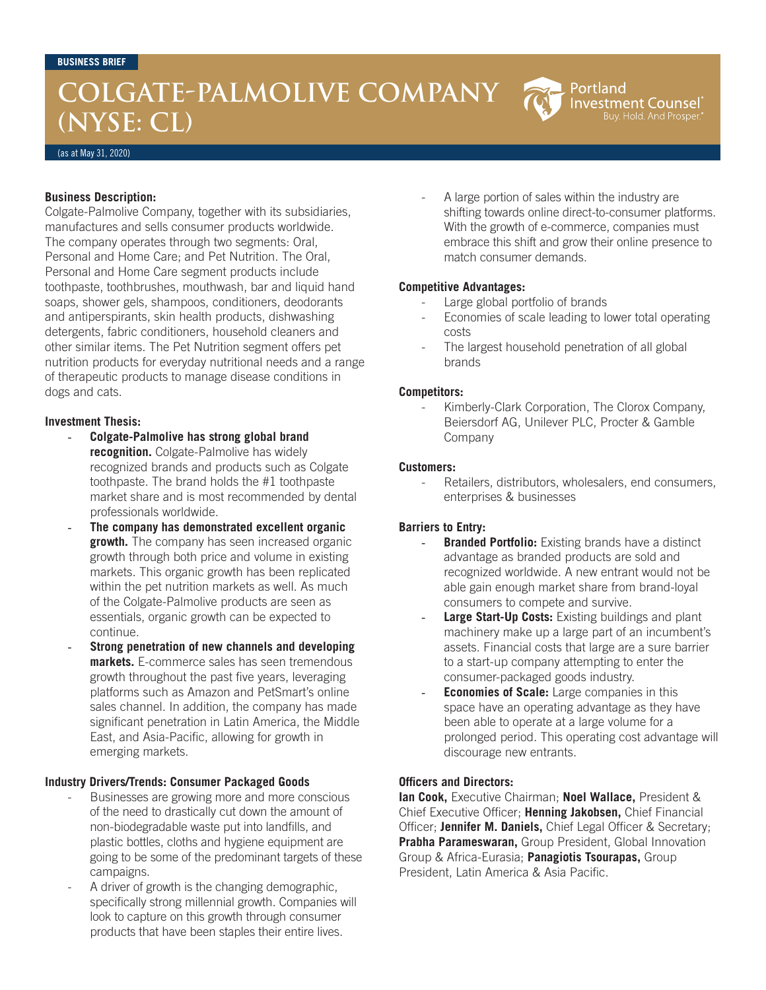# **COLGATE-PALMOLIVE COMPANY (NYSE: CL)**

Portland **Investment Counsel** uy. Hold. And Prosper

(as at May 31, 2020)

# **Business Description:**

Colgate-Palmolive Company, together with its subsidiaries, manufactures and sells consumer products worldwide. The company operates through two segments: Oral, Personal and Home Care; and Pet Nutrition. The Oral, Personal and Home Care segment products include toothpaste, toothbrushes, mouthwash, bar and liquid hand soaps, shower gels, shampoos, conditioners, deodorants and antiperspirants, skin health products, dishwashing detergents, fabric conditioners, household cleaners and other similar items. The Pet Nutrition segment offers pet nutrition products for everyday nutritional needs and a range of therapeutic products to manage disease conditions in dogs and cats.

# **Investment Thesis:**

- **Colgate-Palmolive has strong global brand recognition.** Colgate-Palmolive has widely recognized brands and products such as Colgate toothpaste. The brand holds the #1 toothpaste market share and is most recommended by dental professionals worldwide.
- The company has demonstrated excellent organic **growth.** The company has seen increased organic growth through both price and volume in existing markets. This organic growth has been replicated within the pet nutrition markets as well. As much of the Colgate-Palmolive products are seen as essentials, organic growth can be expected to continue.
- **Strong penetration of new channels and developing markets.** E-commerce sales has seen tremendous growth throughout the past five years, leveraging platforms such as Amazon and PetSmart's online sales channel. In addition, the company has made significant penetration in Latin America, the Middle East, and Asia-Pacific, allowing for growth in emerging markets.

## **Industry Drivers/Trends: Consumer Packaged Goods**

- Businesses are growing more and more conscious of the need to drastically cut down the amount of non-biodegradable waste put into landfills, and plastic bottles, cloths and hygiene equipment are going to be some of the predominant targets of these campaigns.
- A driver of growth is the changing demographic, specifically strong millennial growth. Companies will look to capture on this growth through consumer products that have been staples their entire lives.

A large portion of sales within the industry are shifting towards online direct-to-consumer platforms. With the growth of e-commerce, companies must embrace this shift and grow their online presence to match consumer demands.

## **Competitive Advantages:**

- Large global portfolio of brands
- Economies of scale leading to lower total operating costs
- The largest household penetration of all global brands

## **Competitors:**

Kimberly-Clark Corporation, The Clorox Company, Beiersdorf AG, Unilever PLC, Procter & Gamble Company

#### **Customers:**

Retailers, distributors, wholesalers, end consumers, enterprises & businesses

## **Barriers to Entry:**

- **Branded Portfolio:** Existing brands have a distinct advantage as branded products are sold and recognized worldwide. A new entrant would not be able gain enough market share from brand-loyal consumers to compete and survive.
- Large Start-Up Costs: Existing buildings and plant machinery make up a large part of an incumbent's assets. Financial costs that large are a sure barrier to a start-up company attempting to enter the consumer-packaged goods industry.
- **Economies of Scale:** Large companies in this space have an operating advantage as they have been able to operate at a large volume for a prolonged period. This operating cost advantage will discourage new entrants.

#### **Officers and Directors:**

**Ian Cook,** Executive Chairman; **Noel Wallace,** President & Chief Executive Officer; **Henning Jakobsen,** Chief Financial Officer; **Jennifer M. Daniels,** Chief Legal Officer & Secretary; **Prabha Parameswaran,** Group President, Global Innovation Group & Africa-Eurasia; **Panagiotis Tsourapas,** Group President, Latin America & Asia Pacific.